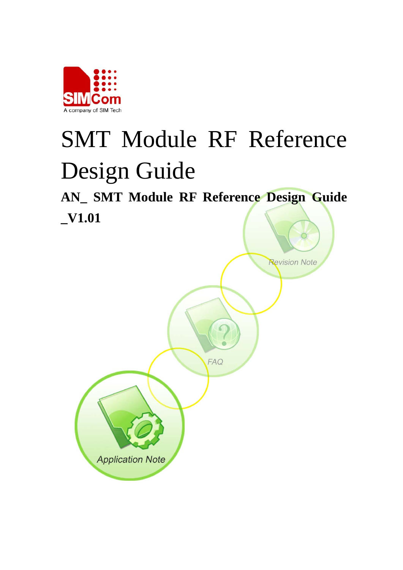

# SMT Module RF Reference Design Guide

**AN\_ SMT Module RF Reference Design Guide \_V1.01** 

**FAQ** 

**Application Note** 

**Revision Note**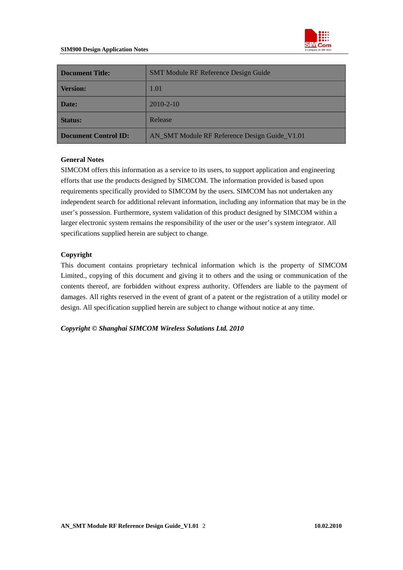

| <b>SMT Module RF Reference Design Guide</b><br><b>Document Title:</b> |                                               |  |  |
|-----------------------------------------------------------------------|-----------------------------------------------|--|--|
| <b>Version:</b>                                                       | 1.01                                          |  |  |
| Date:                                                                 | $2010 - 2 - 10$                               |  |  |
| <b>Status:</b>                                                        | Release                                       |  |  |
| Document Control ID:                                                  | AN_SMT Module RF Reference Design Guide_V1.01 |  |  |

#### **General Notes**

SIMCOM offers this information as a service to its users, to support application and engineering efforts that use the products designed by SIMCOM. The information provided is based upon requirements specifically provided to SIMCOM by the users. SIMCOM has not undertaken any independent search for additional relevant information, including any information that may be in the user's possession. Furthermore, system validation of this product designed by SIMCOM within a larger electronic system remains the responsibility of the user or the user's system integrator. All specifications supplied herein are subject to change.

#### **Copyright**

This document contains proprietary technical information which is the property of SIMCOM Limited., copying of this document and giving it to others and the using or communication of the contents thereof, are forbidden without express authority. Offenders are liable to the payment of damages. All rights reserved in the event of grant of a patent or the registration of a utility model or design. All specification supplied herein are subject to change without notice at any time.

*Copyright © Shanghai SIMCOM Wireless Solutions Ltd. 2010*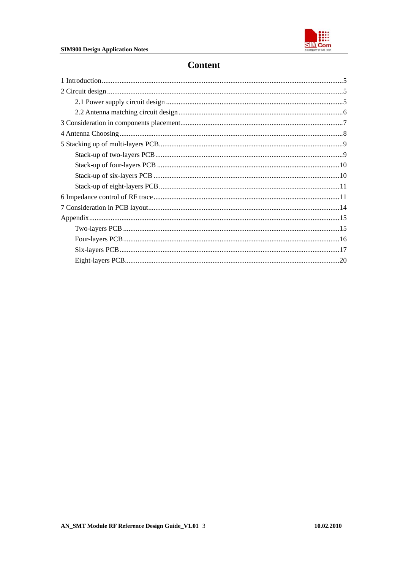

# **Content**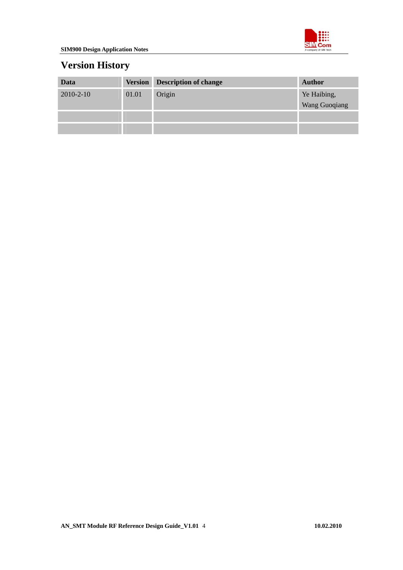

# **Version History**

| Data            | <b>Version</b> | <b>Description of change</b> | <b>Author</b>                |
|-----------------|----------------|------------------------------|------------------------------|
| $2010 - 2 - 10$ | 01.01          | Origin                       | Ye Haibing,<br>Wang Guoqiang |
|                 |                |                              |                              |
|                 |                |                              |                              |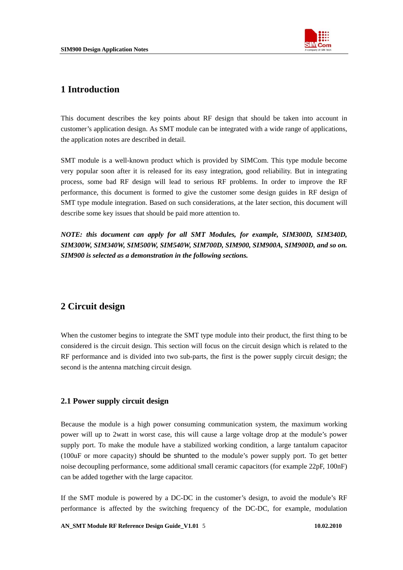

## <span id="page-4-0"></span>**1 Introduction**

This document describes the key points about RF design that should be taken into account in customer's application design. As SMT module can be integrated with a wide range of applications, the application notes are described in detail.

SMT module is a well-known product which is provided by SIMCom. This type module become very popular soon after it is released for its easy integration, good reliability. But in integrating process, some bad RF design will lead to serious RF problems. In order to improve the RF performance, this document is formed to give the customer some design guides in RF design of SMT type module integration. Based on such considerations, at the later section, this document will describe some key issues that should be paid more attention to.

*NOTE: this document can apply for all SMT Modules, for example, SIM300D, SIM340D, SIM300W, SIM340W, SIM500W, SIM540W, SIM700D, SIM900, SIM900A, SIM900D, and so on. SIM900 is selected as a demonstration in the following sections.* 

## **2 Circuit design**

When the customer begins to integrate the SMT type module into their product, the first thing to be considered is the circuit design. This section will focus on the circuit design which is related to the RF performance and is divided into two sub-parts, the first is the power supply circuit design; the second is the antenna matching circuit design.

#### **2.1 Power supply circuit design**

Because the module is a high power consuming communication system, the maximum working power will up to 2watt in worst case, this will cause a large voltage drop at the module's power supply port. To make the module have a stabilized working condition, a large tantalum capacitor (100uF or more capacity) should be shunted to the module's power supply port. To get better noise decoupling performance, some additional small ceramic capacitors (for example 22pF, 100nF) can be added together with the large capacitor.

If the SMT module is powered by a DC-DC in the customer's design, to avoid the module's RF performance is affected by the switching frequency of the DC-DC, for example, modulation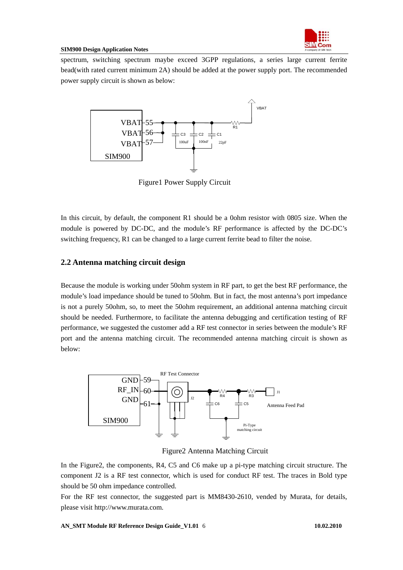

<span id="page-5-0"></span>spectrum, switching spectrum maybe exceed 3GPP regulations, a series large current ferrite bead(with rated current minimum 2A) should be added at the power supply port. The recommended power supply circuit is shown as below:



Figure1 Power Supply Circuit

In this circuit, by default, the component R1 should be a 0ohm resistor with 0805 size. When the module is powered by DC-DC, and the module's RF performance is affected by the DC-DC's switching frequency, R1 can be changed to a large current ferrite bead to filter the noise.

### **2.2 Antenna matching circuit design**

Because the module is working under 50ohm system in RF part, to get the best RF performance, the module's load impedance should be tuned to 50ohm. But in fact, the most antenna's port impedance is not a purely 50ohm, so, to meet the 50ohm requirement, an additional antenna matching circuit should be needed. Furthermore, to facilitate the antenna debugging and certification testing of RF performance, we suggested the customer add a RF test connector in series between the module's RF port and the antenna matching circuit. The recommended antenna matching circuit is shown as below:



Figure2 Antenna Matching Circuit

In the Figure2, the components, R4, C5 and C6 make up a pi-type matching circuit structure. The component J2 is a RF test connector, which is used for conduct RF test. The traces in Bold type should be 50 ohm impedance controlled.

For the RF test connector, the suggested part is MM8430-2610, vended by Murata, for details, please visit http://www.murata.com.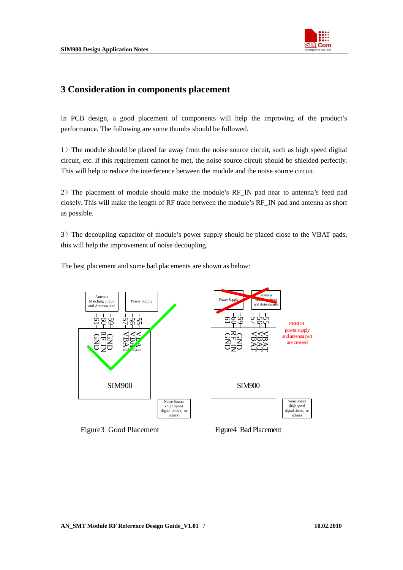

## <span id="page-6-0"></span>**3 Consideration in components placement**

In PCB design, a good placement of components will help the improving of the product's performance. The following are some thumbs should be followed.

1)The module should be placed far away from the noise source circuit, such as high speed digital circuit, etc. if this requirement cannot be met, the noise source circuit should be shielded perfectly. This will help to reduce the interference between the module and the noise source circuit.

2) The placement of module should make the module's RF IN pad near to antenna's feed pad closely. This will make the length of RF trace between the module's RF\_IN pad and antenna as short as possible.

3)The decoupling capacitor of module's power supply should be placed close to the VBAT pads, this will help the improvement of noise decoupling.

The best placement and some bad placements are shown as below:

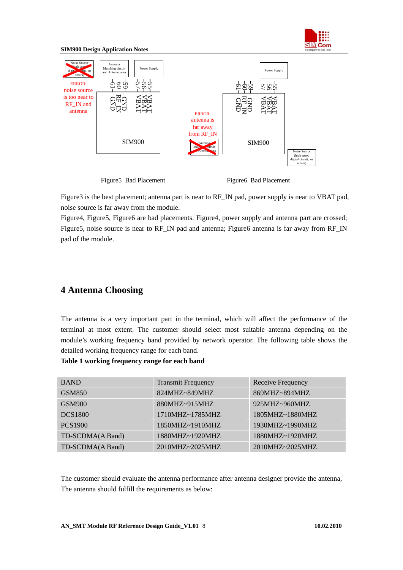

<span id="page-7-0"></span>

Figure3 is the best placement; antenna part is near to RF\_IN pad, power supply is near to VBAT pad, noise source is far away from the module.

Figure4, Figure5, Figure6 are bad placements. Figure4, power supply and antenna part are crossed; Figure5, noise source is near to RF\_IN pad and antenna; Figure6 antenna is far away from RF\_IN pad of the module.

## **4 Antenna Choosing**

The antenna is a very important part in the terminal, which will affect the performance of the terminal at most extent. The customer should select most suitable antenna depending on the module's working frequency band provided by network operator. The following table shows the detailed working frequency range for each band.

#### **Table 1 working frequency range for each band**

| <b>BAND</b>      | <b>Transmit Frequency</b> | Receive Frequency |
|------------------|---------------------------|-------------------|
| GSM850           | 824MHZ~849MHZ             | 869MHZ~894MHZ     |
| <b>GSM900</b>    | 880MHZ~915MHZ             | 925MHZ~960MHZ     |
| <b>DCS1800</b>   | $1710MHz \sim 1785MHz$    | 1805MHZ~1880MHZ   |
| <b>PCS1900</b>   | 1850MHZ~1910MHZ           | 1930MHZ~1990MHZ   |
| TD-SCDMA(A Band) | 1880MHZ~1920MHZ           | 1880MHZ~1920MHZ   |
| TD-SCDMA(A Band) | 2010MHZ~2025MHZ           | 2010MHZ~2025MHZ   |

The customer should evaluate the antenna performance after antenna designer provide the antenna, The antenna should fulfill the requirements as below: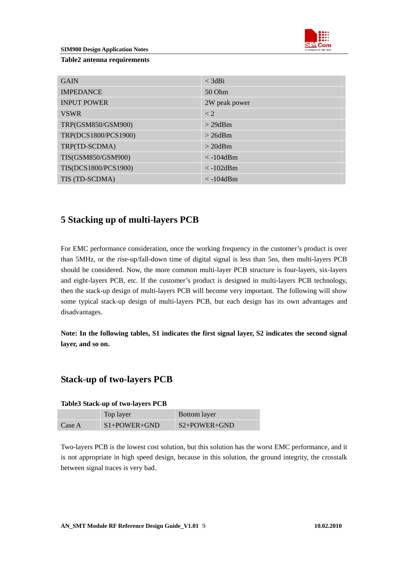

#### <span id="page-8-0"></span>**Table2 antenna requirements**

| <b>GAIN</b>          | $<$ 3dBi           |
|----------------------|--------------------|
| <b>IMPEDANCE</b>     | 50 Ohm             |
| <b>INPUT POWER</b>   | 2W peak power      |
| <b>VSWR</b>          | $\lt 2$            |
| TRP(GSM850/GSM900)   | $>$ 29dBm          |
| TRP(DCS1800/PCS1900) | $>$ 26dBm          |
| TRP(TD-SCDMA)        | $> 20$ dBm         |
| TIS(GSM850/GSM900)   | $\langle$ -104dBm  |
| TIS(DCS1800/PCS1900) | $\langle$ -102dBm  |
| TIS (TD-SCDMA)       | $\langle -104$ dBm |

## **5 Stacking up of multi-layers PCB**

For EMC performance consideration, once the working frequency in the customer's product is over than 5MHz, or the rise-up/fall-down time of digital signal is less than 5ns, then multi-layers PCB should be considered. Now, the more common multi-layer PCB structure is four-layers, six-layers and eight-layers PCB, etc. If the customer's product is designed in multi-layers PCB technology, then the stack-up design of multi-layers PCB will become very important. The following will show some typical stack-up design of multi-layers PCB, but each design has its own advantages and disadvantages.

**Note: In the following tables, S1 indicates the first signal layer, S2 indicates the second signal layer, and so on.** 

## **Stack-up of two-layers PCB**

#### **Table3 Stack-up of two-layers PCB**

|        | Top layer      | Bottom layer   |
|--------|----------------|----------------|
| Case A | $S1+POWER+GND$ | $S2+POWER+GND$ |

Two-layers PCB is the lowest cost solution, but this solution has the worst EMC performance, and it is not appropriate in high speed design, because in this solution, the ground integrity, the crosstalk between signal traces is very bad.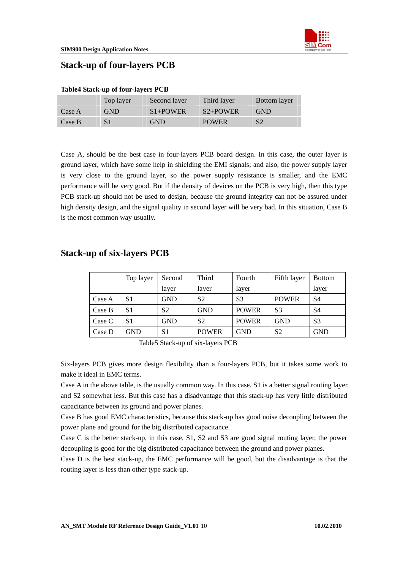## <span id="page-9-0"></span>**Stack-up of four-layers PCB**

|        | Top layer  | Second layer | Third layer  | <b>Bottom</b> layer |
|--------|------------|--------------|--------------|---------------------|
| Case A | <b>GND</b> | $S1+POWER$   | $S2+POWER$   | <b>GND</b>          |
| Case B |            | <b>GND</b>   | <b>POWER</b> | S <sub>2</sub>      |

#### **Table4 Stack-up of four-layers PCB**

Case A, should be the best case in four-layers PCB board design. In this case, the outer layer is ground layer, which have some help in shielding the EMI signals; and also, the power supply layer is very close to the ground layer, so the power supply resistance is smaller, and the EMC performance will be very good. But if the density of devices on the PCB is very high, then this type PCB stack-up should not be used to design, because the ground integrity can not be assured under high density design, and the signal quality in second layer will be very bad. In this situation, Case B is the most common way usually.

## **Stack-up of six-layers PCB**

|        | Top layer | Second         | Third          | Fourth         | Fifth layer    | <b>Bottom</b>  |
|--------|-----------|----------------|----------------|----------------|----------------|----------------|
|        |           | layer          | layer          | layer          |                | layer          |
| Case A | S1        | <b>GND</b>     | S <sub>2</sub> | S <sub>3</sub> | <b>POWER</b>   | S4             |
| Case B | S1        | S <sub>2</sub> | <b>GND</b>     | <b>POWER</b>   | S <sub>3</sub> | S4             |
| Case C | S1        | <b>GND</b>     | S <sub>2</sub> | <b>POWER</b>   | <b>GND</b>     | S <sub>3</sub> |
| Case D | GND       | S1             | <b>POWER</b>   | <b>GND</b>     | S <sub>2</sub> | <b>GND</b>     |

Table5 Stack-up of six-layers PCB

Six-layers PCB gives more design flexibility than a four-layers PCB, but it takes some work to make it ideal in EMC terms.

Case A in the above table, is the usually common way. In this case, S1 is a better signal routing layer, and S2 somewhat less. But this case has a disadvantage that this stack-up has very little distributed capacitance between its ground and power planes.

Case B has good EMC characteristics, because this stack-up has good noise decoupling between the power plane and ground for the big distributed capacitance.

Case C is the better stack-up, in this case, S1, S2 and S3 are good signal routing layer, the power decoupling is good for the big distributed capacitance between the ground and power planes.

Case D is the best stack-up, the EMC performance will be good, but the disadvantage is that the routing layer is less than other type stack-up.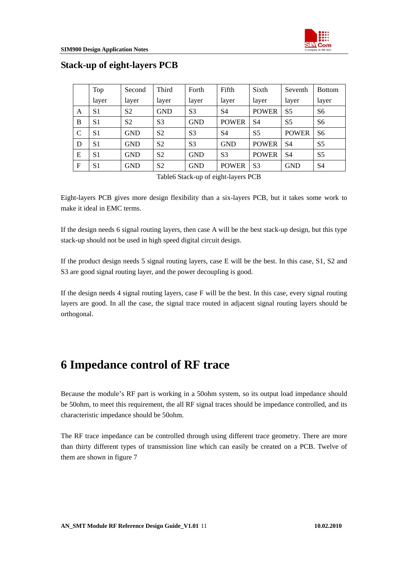

|              | Top            | Second         | Third          | Forth          | Fifth          | Sixth          | Seventh        | <b>Bottom</b>  |
|--------------|----------------|----------------|----------------|----------------|----------------|----------------|----------------|----------------|
|              | layer          | layer          | layer          | layer          | layer          | layer          | layer          | layer          |
| A            | S1             | S <sub>2</sub> | <b>GND</b>     | S <sub>3</sub> | S4             | <b>POWER</b>   | S <sub>5</sub> | S <sub>6</sub> |
| B            | S <sub>1</sub> | S <sub>2</sub> | S <sub>3</sub> | <b>GND</b>     | <b>POWER</b>   | S4             | S <sub>5</sub> | S <sub>6</sub> |
| C            | S <sub>1</sub> | <b>GND</b>     | S <sub>2</sub> | S <sub>3</sub> | S4             | S <sub>5</sub> | <b>POWER</b>   | S <sub>6</sub> |
| D            | S1             | <b>GND</b>     | S <sub>2</sub> | S <sub>3</sub> | <b>GND</b>     | <b>POWER</b>   | S4             | S <sub>5</sub> |
| E            | S1             | <b>GND</b>     | S <sub>2</sub> | <b>GND</b>     | S <sub>3</sub> | <b>POWER</b>   | S <sub>4</sub> | S <sub>5</sub> |
| $\mathbf{F}$ | S <sub>1</sub> | <b>GND</b>     | S <sub>2</sub> | <b>GND</b>     | <b>POWER</b>   | S <sub>3</sub> | <b>GND</b>     | S <sub>4</sub> |

## <span id="page-10-0"></span>**Stack-up of eight-layers PCB**

Table6 Stack-up of eight-layers PCB

Eight-layers PCB gives more design flexibility than a six-layers PCB, but it takes some work to make it ideal in EMC terms.

If the design needs 6 signal routing layers, then case A will be the best stack-up design, but this type stack-up should not be used in high speed digital circuit design.

If the product design needs 5 signal routing layers, case E will be the best. In this case, S1, S2 and S3 are good signal routing layer, and the power decoupling is good.

If the design needs 4 signal routing layers, case F will be the best. In this case, every signal routing layers are good. In all the case, the signal trace routed in adjacent signal routing layers should be orthogonal.

# **6 Impedance control of RF trace**

Because the module's RF part is working in a 50ohm system, so its output load impedance should be 50ohm, to meet this requirement, the all RF signal traces should be impedance controlled, and its characteristic impedance should be 50ohm.

The RF trace impedance can be controlled through using different trace geometry. There are more than thirty different types of transmission line which can easily be created on a PCB. Twelve of them are shown in figure 7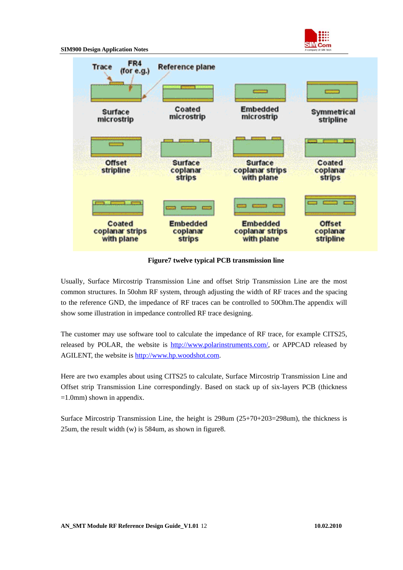

**Figure7 twelve typical PCB transmission line** 

Usually, Surface Mircostrip Transmission Line and offset Strip Transmission Line are the most common structures. In 50ohm RF system, through adjusting the width of RF traces and the spacing to the reference GND, the impedance of RF traces can be controlled to 50Ohm.The appendix will show some illustration in impedance controlled RF trace designing.

The customer may use software tool to calculate the impedance of RF trace, for example CITS25, released by POLAR, the website is <http://www.polarinstruments.com/>, or APPCAD released by AGILENT, the website is [http://www.hp.woodshot.com.](http://www.hp.woodshot.com/)

Here are two examples about using CITS25 to calculate, Surface Mircostrip Transmission Line and Offset strip Transmission Line correspondingly. Based on stack up of six-layers PCB (thickness =1.0mm) shown in appendix.

Surface Mircostrip Transmission Line, the height is 298um (25+70+203=298um), the thickness is 25um, the result width (w) is 584um, as shown in figure8.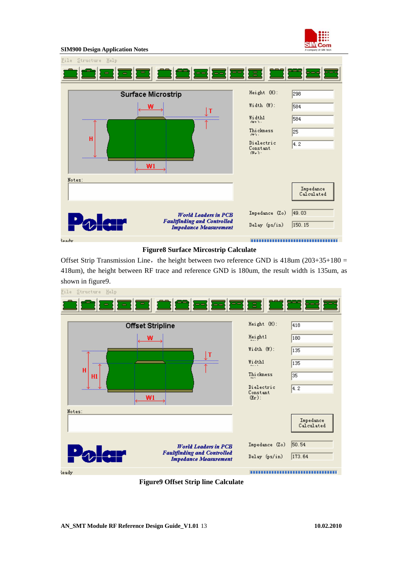



#### **Figure8 Surface Mircostrip Calculate**

Offset Strip Transmission Line, the height between two reference GND is  $418$ um (203+35+180 = 418um), the height between RF trace and reference GND is 180um, the result width is 135um, as shown in figure9.



 **Figure9 Offset Strip line Calculate**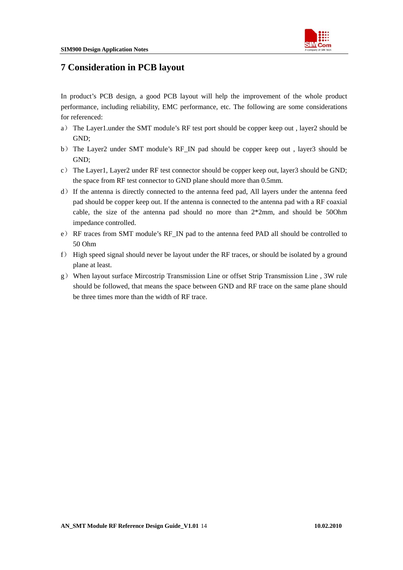

## <span id="page-13-0"></span>**7 Consideration in PCB layout**

In product's PCB design, a good PCB layout will help the improvement of the whole product performance, including reliability, EMC performance, etc. The following are some considerations for referenced:

- a) The Layer1.under the SMT module's RF test port should be copper keep out , layer2 should be GND;
- b) The Layer2 under SMT module's RF\_IN pad should be copper keep out , layer3 should be GND;
- c) The Layer1, Layer2 under RF test connector should be copper keep out, layer3 should be GND; the space from RF test connector to GND plane should more than 0.5mm.
- d) If the antenna is directly connected to the antenna feed pad, All layers under the antenna feed pad should be copper keep out. If the antenna is connected to the antenna pad with a RF coaxial cable, the size of the antenna pad should no more than  $2*2mm$ , and should be 500hm impedance controlled.
- e) RF traces from SMT module's RF\_IN pad to the antenna feed PAD all should be controlled to 50 Ohm
- f) High speed signal should never be layout under the RF traces, or should be isolated by a ground plane at least.
- g) When layout surface Mircostrip Transmission Line or offset Strip Transmission Line , 3W rule should be followed, that means the space between GND and RF trace on the same plane should be three times more than the width of RF trace.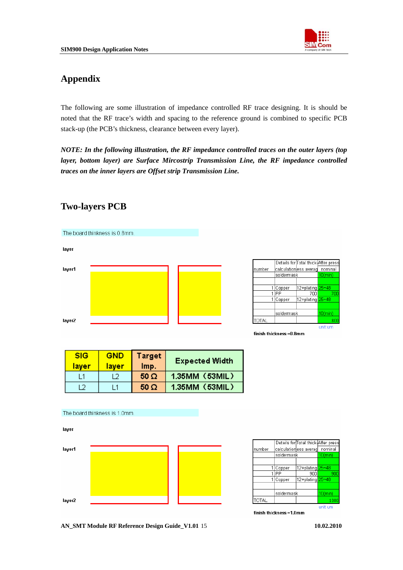

## <span id="page-14-0"></span>**Appendix**

The following are some illustration of impedance controlled RF trace designing. It is should be noted that the RF trace's width and spacing to the reference ground is combined to specific PCB stack-up (the PCB's thickness, clearance between every layer).

*NOTE: In the following illustration, the RF impedance controlled traces on the outer layers (top layer, bottom layer) are Surface Mircostrip Transmission Line, the RF impedance controlled traces on the inner layers are Offset strip Transmission Line.* 

#### The board thinkness is 0.8mm. layer Details for Total thick-After press layer1 number <u>calculationess averag</u> nominal soldermask  $0$ (mir 12+plating 1 Copper TIPP  $700$ 1 Copper 12+plating soldermask TOTAL layer2 unit:um finish thickness = 0.8mm

## **Two-layers PCB**

| <b>SIG</b><br><u>laver</u> | <b>GND</b><br>laver | <b>Target</b><br>Imp. | <b>Expected Width</b> |
|----------------------------|---------------------|-----------------------|-----------------------|
| L1                         | 12                  | $50 \Omega$           | 1.35MM (53MIL)        |
| 12                         | l 1                 | 50 Ω                  | 1.35MM (53MIL)        |



|              |            |                               | Details for Total thick After press |
|--------------|------------|-------------------------------|-------------------------------------|
| number       |            | calculation ess averag        | nominal                             |
|              | soldermask |                               | 10(min)                             |
|              |            |                               |                                     |
|              | Copper     | 12+plating <mark>25~48</mark> |                                     |
|              | ÞР         | 900                           | 900                                 |
|              | Copper     | 12+plating 25~48              |                                     |
|              |            |                               |                                     |
|              | soldermask |                               | $10$ (min)                          |
| <b>TOTAL</b> |            |                               | 1000                                |
|              |            |                               | unitrum                             |

finish thickness =1.0mm

**AN\_SMT Module RF Reference Design Guide\_V1.01** 15 **10.02.2010**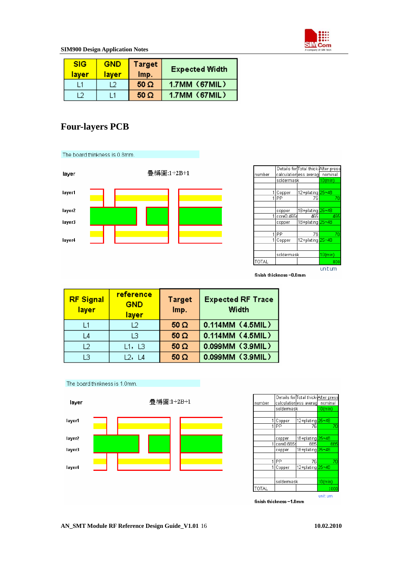

<span id="page-15-0"></span>

| <b>SIG</b><br>laver | <b>GND</b><br>laver | <b>Target</b><br>Imp. | <b>Expected Width</b> |
|---------------------|---------------------|-----------------------|-----------------------|
|                     |                     | $50 \Omega$           | 1.7MM (67MIL)         |
|                     |                     | $50 \Omega$           | 1.7MM (67MIL)         |

## **Four-layers PCB**



 $50 \Omega$ 

0.099MM (3.9MIL)

#### The board thinkness is 1.0mm.

 $L3$ 



 $L2, L4$ 

|        |            | Details for Total thick After press |            |
|--------|------------|-------------------------------------|------------|
| number |            | calculation ess averag   nominal    |            |
|        |            | soldermask                          |            |
|        |            |                                     |            |
| 1      | Copper     | 12+plating 25~48                    |            |
|        | IPP        | 76                                  | 70         |
|        |            |                                     |            |
|        | copper     | 18+plating 25~48                    |            |
| 1      | core0.665r | 665                                 | 665        |
|        | copper     | 18+plating 25~48                    |            |
|        |            |                                     |            |
|        | PP         | 76                                  | 70         |
| 1      | Copper     | 12+plating 25~48                    |            |
|        |            |                                     |            |
|        | soldermask |                                     | $10$ (min) |
| TOTAL  |            |                                     | 1000       |
|        |            |                                     | unit:um    |

finish thickness =1.0mm

#### **AN\_SMT Module RF Reference Design Guide\_V1.01** 16 **10.02.2010**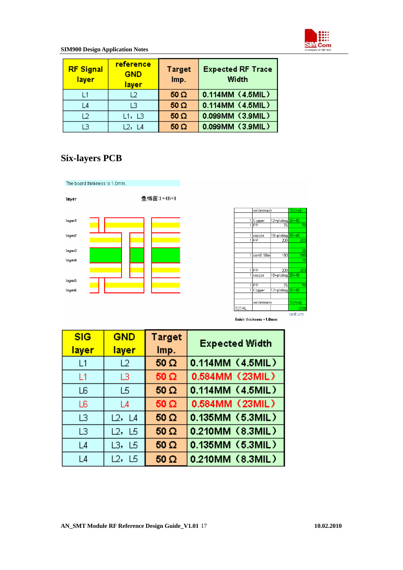

<span id="page-16-0"></span>

| <b>RF Signal</b><br>layer | reference<br><b>GND</b><br><b>layer</b> | <b>Target</b><br>Imp. | <b>Expected RF Trace</b><br>Width |
|---------------------------|-----------------------------------------|-----------------------|-----------------------------------|
| l 1                       | 12                                      | $50 \Omega$           | 0.114MM (4.5MIL)                  |
| L4                        | 13                                      | $50 \Omega$           | 0.114MM (4.5MIL)                  |
| 12                        | L1,L3                                   | $50 \Omega$           | 0.099MM (3.9MIL)                  |
| LЗ                        | L2, L4                                  | $50 \Omega$           | 0.099MM (3.9MIL)                  |

# **Six-layers PCB**



|              | soldermask |                               | $10$ (min) |
|--------------|------------|-------------------------------|------------|
|              |            |                               |            |
| 1            | Copper     | 12+plating 25~48              |            |
| 1            | РP         | 76                            | 70         |
|              |            |                               |            |
| 1            | copper     | 18+plating <mark>25~48</mark> |            |
| 1            | РP         | 208                           | 203        |
|              |            |                               |            |
|              |            |                               | 35         |
| 1            | core0.18m  | 180                           | 180        |
|              |            |                               | 35         |
|              |            |                               |            |
| 1            | PP         | 208                           | 203        |
| 1            | copper     | 18+plating 25~48              |            |
|              |            |                               |            |
| 1            | PP         | 76                            | 70         |
| 1            | Copper     | 12+plating 25~48              |            |
|              |            |                               |            |
|              | soldermask |                               | $10$ (min) |
| <b>TOTAL</b> |            |                               | 1000       |
|              |            |                               | unit:um    |

finish thickness =1.0mm

| <b>SIG</b><br><u>layer</u> | <b>GND</b><br>layer | <b>Target</b><br>Imp. | <b>Expected Width</b> |
|----------------------------|---------------------|-----------------------|-----------------------|
| L1                         | L2                  | $50 \Omega$           | 0.114MM (4.5MIL)      |
| L1                         | LЗ                  | $50 \Omega$           | 0.584MM (23MIL)       |
| LБ                         | L5                  | $50 \Omega$           | 0.114MM (4.5MIL)      |
| L6.                        | L4                  | $50 \Omega$           | 0.584MM (23MIL)       |
| LЗ                         | L2, L4              | $50 \Omega$           | 0.135MM (5.3MIL)      |
| LЗ                         | L2, L5              | $50 \Omega$           | 0.210MM (8.3MIL)      |
| L4                         | L3, L5              | $50 \Omega$           | 0.135MM (5.3MIL)      |
| L4                         | L2,<br>L5           | $50 \Omega$           | 0.210MM (8.3MIL)      |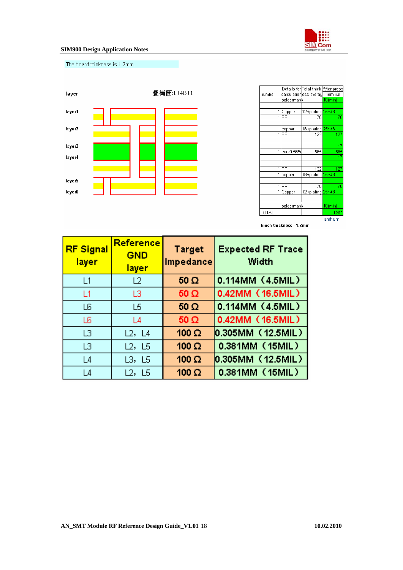

The board thinkness is 1.2mm.



|        |                 | Details for Total thick After press |            |
|--------|-----------------|-------------------------------------|------------|
| number |                 | calculation ess averag              | nominal    |
|        | soldermask      |                                     | $10$ (min) |
|        |                 |                                     |            |
|        | 1<br>Copper     | 12+plating 25~48                    |            |
|        | PP<br>1         | 76                                  | 70         |
|        |                 |                                     |            |
|        | 1<br>copper     | 18+plating 25~48                    |            |
|        | PP<br>1         | 132                                 | 127        |
|        |                 |                                     |            |
|        |                 |                                     | 17         |
|        | 1<br>core0.565r | 565                                 | 565        |
|        |                 |                                     | 17         |
|        |                 |                                     |            |
|        | PР<br>1         | 132                                 | 127        |
|        | 1<br>copper     | 18+plating 25~48                    |            |
|        |                 |                                     |            |
|        | 1<br>РP         | 76                                  | 70         |
|        | 1<br>Copper     | 12+plating 25~48                    |            |
|        |                 |                                     |            |
|        | soldermask      |                                     | $10$ (min) |
| TOTAL  |                 |                                     | 1200       |
|        |                 |                                     | unit:um    |

finish thickness =1.2mm

| <b>RF Signal</b><br>layer | Reference<br><b>GND</b><br>layer | <b>Target</b><br>Impedance | <b>Expected RF Trace</b><br>Width |
|---------------------------|----------------------------------|----------------------------|-----------------------------------|
| L1                        | L2                               | $50 \Omega$                | 0.114MM (4.5MIL)                  |
| L1                        | LЗ                               | $50\Omega$                 | 0.42MM (16.5MIL)                  |
| L6                        | L5                               | $50 \Omega$                | 0.114MM (4.5MIL)                  |
| L6.                       | L4                               | $50 \Omega$                | 0.42MM (16.5MIL)                  |
| LЗ                        | L2, L4                           | 100 $\Omega$               | 0.305MM(12.5MIL)                  |
| LЗ                        | L2, L5                           | 100 $\Omega$               | 0.381MM (15MIL)                   |
| L4                        | L3, L5                           | 100 $\Omega$               | 0.305MM (12.5MIL)                 |
| L4                        | L2, L5                           | 100 $\Omega$               | 0.381MM (15MIL)                   |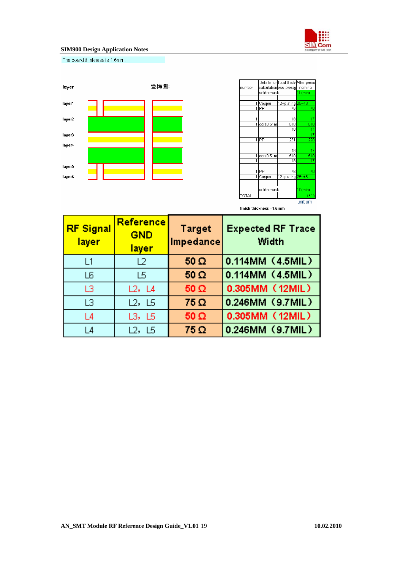

The board thinkness is 1.6mm.



|        |   |            | Details for Total thick After press |            |
|--------|---|------------|-------------------------------------|------------|
| number |   |            | calculation ess averag              | nominal    |
|        |   | soldermask |                                     | $10$ (min) |
|        |   |            |                                     |            |
|        | 1 | Copper     | 12+plating 25~48                    |            |
|        | 1 | PP         | 76                                  | 70         |
|        |   |            |                                     |            |
|        | 1 |            | 18                                  | 17         |
|        |   | core0.51m  | 510                                 | 510        |
|        |   |            | 18                                  | 17         |
|        |   |            |                                     | 17         |
|        | 1 | PP         | 231                                 | 220        |
|        |   |            |                                     |            |
|        |   |            | 18                                  | 17         |
|        | 1 | core0.51m  | 510                                 | 510        |
|        |   |            | 18                                  | 17         |
|        |   |            |                                     |            |
|        | 1 | PP         | 76                                  | 70         |
|        | 1 | Copper     | 12+plating 25~48                    |            |
|        |   |            |                                     |            |
|        |   | soldermask |                                     | $10$ (min) |
| TOTAL  |   |            |                                     | 1600       |
|        |   |            |                                     | unit:um    |

finish thickness = 1.6mm

| <b>RF Signal</b><br>layer | Reference<br><b>GND</b><br>layer | <b>Target</b><br>Impedance | <b>Expected RF Trace</b><br>Width |
|---------------------------|----------------------------------|----------------------------|-----------------------------------|
| L1                        | L2                               | $50 \Omega$                | 0.114MM (4.5MIL)                  |
| L6                        | L5                               | $50 \Omega$                | 0.114MM (4.5MIL)                  |
| LЗ                        | L2, L4                           | $50\ \Omega$               | 0.305MM (12MIL)                   |
| LЗ                        | L2, L5                           | $75\Omega$                 | 0.246MM (9.7MIL)                  |
| L4                        | L3, L5                           | $50 \Omega$                | 0.305MM (12MIL)                   |
| L4                        | L2, L5                           | $75\Omega$                 | 0.246MM (9.7MIL)                  |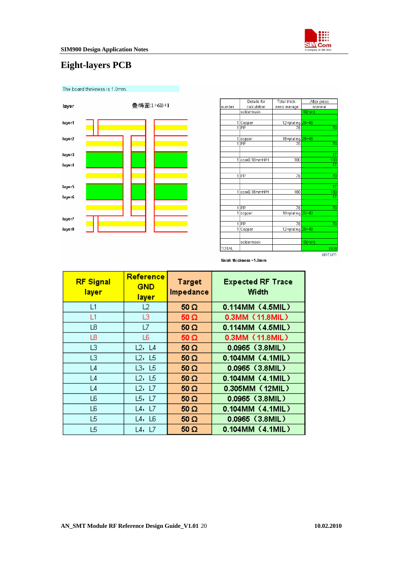

# <span id="page-19-0"></span>**Eight-layers PCB**



| number<br>nominal<br>calculation<br>ness average<br>soldermask<br>$10$ (min)<br>12+plating 25~48<br>1<br>Copper<br>$\overline{1}$<br>PP<br>76<br>18+plating 25~48<br>1<br>copper<br>$\overline{1}$<br><b>IPP</b><br>76<br>1<br>core0.18mmH/H<br>180<br>1<br>IPP<br>76<br>1<br>core0.18mmH/H<br>180 | 70        |
|----------------------------------------------------------------------------------------------------------------------------------------------------------------------------------------------------------------------------------------------------------------------------------------------------|-----------|
|                                                                                                                                                                                                                                                                                                    |           |
|                                                                                                                                                                                                                                                                                                    |           |
|                                                                                                                                                                                                                                                                                                    |           |
|                                                                                                                                                                                                                                                                                                    |           |
|                                                                                                                                                                                                                                                                                                    |           |
|                                                                                                                                                                                                                                                                                                    |           |
|                                                                                                                                                                                                                                                                                                    |           |
|                                                                                                                                                                                                                                                                                                    | 70        |
|                                                                                                                                                                                                                                                                                                    |           |
|                                                                                                                                                                                                                                                                                                    | 17<br>180 |
|                                                                                                                                                                                                                                                                                                    | 17        |
|                                                                                                                                                                                                                                                                                                    |           |
|                                                                                                                                                                                                                                                                                                    | 70        |
|                                                                                                                                                                                                                                                                                                    |           |
|                                                                                                                                                                                                                                                                                                    | 17        |
|                                                                                                                                                                                                                                                                                                    | 180       |
|                                                                                                                                                                                                                                                                                                    | 17        |
|                                                                                                                                                                                                                                                                                                    |           |
| <b>IPP</b><br>76<br>$\overline{1}$                                                                                                                                                                                                                                                                 | 70        |
| 18+plating 25~48<br>1<br>copper                                                                                                                                                                                                                                                                    |           |
| PP<br>1<br>76                                                                                                                                                                                                                                                                                      | 70        |
| 12+plating 25~48<br>1<br>Copper                                                                                                                                                                                                                                                                    |           |
|                                                                                                                                                                                                                                                                                                    |           |
| soldermask<br>$10$ (min)                                                                                                                                                                                                                                                                           |           |
| TOTAL                                                                                                                                                                                                                                                                                              | 1000      |
| unit:um                                                                                                                                                                                                                                                                                            |           |

finish thickness =1.0mm

| <b>RF Signal</b><br>layer | Reference<br><b>GND</b><br><u>layer</u> | <b>Target</b><br>Impedance | <b>Expected RF Trace</b><br>Width |
|---------------------------|-----------------------------------------|----------------------------|-----------------------------------|
| L1                        | 12                                      | $50 \Omega$                | 0.114MM (4.5MIL)                  |
| L1                        | LЗ                                      | $50 \Omega$                | 0.3MM (11.8MIL)                   |
| L8                        | L7                                      | $50 \Omega$                | 0.114MM (4.5MIL)                  |
| L8                        | L6                                      | $50 \Omega$                | 0.3MM (11.8MIL)                   |
| L3                        | L2, L4                                  | $50 \Omega$                | $0.0965$ (3.8MIL)                 |
| L3                        | L2, L5                                  | $50 \Omega$                | 0.104MM (4.1MIL)                  |
| L <sub>4</sub>            | L3, L5                                  | $50 \Omega$                | 0.0965 (3.8MIL)                   |
| L <sub>4</sub>            | L2, L5                                  | $50 \Omega$                | 0.104MM (4.1MIL)                  |
| L <sub>4</sub>            | L2, L7                                  | $50 \Omega$                | 0.305MM (12MIL)                   |
| L6                        | L5, L7                                  | $50 \Omega$                | 0.0965 (3.8MIL)                   |
| LБ                        | L4, L7                                  | $50 \Omega$                | 0.104MM (4.1MIL)                  |
| L5                        | L4, L6                                  | $50 \Omega$                | 0.0965 (3.8MIL)                   |
| L5                        | L4, L7                                  | $50\Omega$                 | 0.104MM (4.1MIL)                  |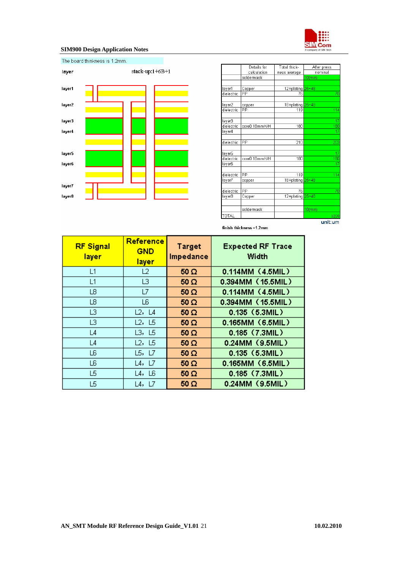



|            | Details for   | Total thick-     | After press |
|------------|---------------|------------------|-------------|
|            | calculation   | ness average     | nominal     |
|            | soldermask    |                  | $10$ (min)  |
|            |               |                  |             |
| layer1     | Copper        | 12+plating 25~48 |             |
| dielectric | PP            | 76               | 70          |
|            |               |                  |             |
| layer2     | copper        | 18+plating       | $25 - 48$   |
| dielectric | PP            | 119              | 114         |
|            |               |                  |             |
| layer3     |               |                  | 17          |
| dielectric | core0.18mmH/H | 180              | 180         |
| laver4     |               |                  | 17          |
|            |               |                  |             |
| dielectric | PP            | 210              | 203         |
|            |               |                  |             |
| layer5     |               |                  | 17          |
| dielectric | core0.18mmH/H | 180              | 180         |
| layer6     |               |                  | 17          |
|            |               |                  |             |
| dielectric | PP            | 119              | 114         |
| laγer7     | copper        | 18+plating       | $25 - 48$   |
|            |               |                  |             |
| dielectric | PP            | 76               | 70          |
| layer8     | Copper        | 12+plating       | $25 - 48$   |
|            |               |                  |             |
|            | soldermask    |                  | $10$ (min)  |
| TOTAL      |               |                  | 1200        |
|            |               |                  | unit:um     |

finish thickness = 1.2mm

| <b>RF Signal</b><br>layer | Reference<br><b>GND</b><br><b>layer</b> | <b>Target</b><br>Impedance | <b>Expected RF Trace</b><br>Width |
|---------------------------|-----------------------------------------|----------------------------|-----------------------------------|
| L1                        | L2                                      | $50 \Omega$                | 0.114MM (4.5MIL)                  |
| L1                        | L3                                      | $50 \Omega$                | 0.394MM (15.5MIL)                 |
| L8                        | L7                                      | $50 \Omega$                | 0.114MM (4.5MIL)                  |
| L8                        | L6                                      | $50 \Omega$                | 0.394MM (15.5MIL)                 |
| LЗ                        | L2, L4                                  | $50 \Omega$                | $0.135$ (5.3MIL)                  |
| LЗ                        | L2, L5                                  | $50 \Omega$                | 0.165MM (6.5MIL)                  |
| L4                        | L3, L5                                  | $50 \Omega$                | 0.185 (7.3MIL)                    |
| L4                        | L2, L5                                  | $50 \Omega$                | 0.24MM (9.5MIL)                   |
| L6                        | L5, L7                                  | $50 \Omega$                | $0.135$ (5.3MIL)                  |
| L6                        | L4, L7                                  | $50 \Omega$                | 0.165MM (6.5MIL)                  |
| L5                        | L4, L6                                  | $50 \Omega$                | 0.185 (7.3MIL)                    |
| L5                        | L4, L7                                  | $50 \Omega$                | 0.24MM (9.5MIL)                   |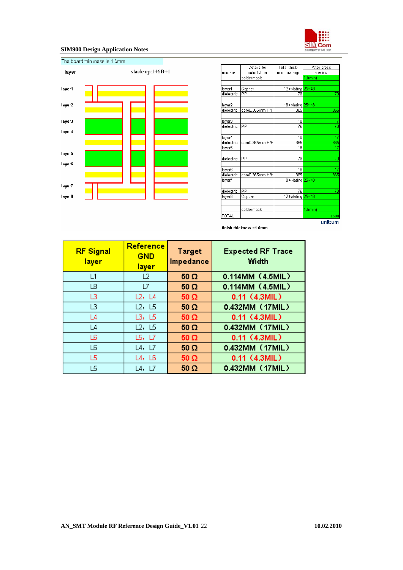



|              | Details for     | Total thick-     | After press     |
|--------------|-----------------|------------------|-----------------|
| number       | calculation     | ness average     | nominal         |
|              | soldermask      |                  | $10$ (min)      |
|              |                 |                  |                 |
| layer1       | Copper          | 12+plating 25~48 |                 |
| dielectric   | PP              | 70<br>76         |                 |
|              |                 |                  |                 |
| layer2       |                 | 18+plating 25~48 |                 |
| dielectric   | core0.365mm H/H | 365              | 365             |
|              |                 |                  |                 |
| layer3       |                 | 18               | $\frac{17}{70}$ |
| dielectric   | PP              | 76               |                 |
|              |                 |                  |                 |
| layer4       |                 | 18               | 17              |
| dielectric   | core0.365mm H/H | 365              | 365             |
| layer5       |                 | 18               | 17              |
|              |                 |                  |                 |
| dielectric   | PP              | 76               | 70              |
|              |                 |                  |                 |
| layer6       |                 | 18               | 17              |
| dielectric   | core0.365mm H/H | 365              | 365             |
| layer7       |                 | 18+plating       | $25 - 48$       |
|              |                 |                  |                 |
| dielectric   | PP              | 76               | 70              |
| layer8       | Copper          | 12+plating       | $25 - 48$       |
|              |                 |                  |                 |
|              | soldermask      |                  | $10$ (min)      |
| <b>TOTAL</b> |                 |                  | 1600            |
|              |                 |                  | unit:um         |

finish thickness = 1.6mm

| <b>RF Signal</b><br>layer | Reference<br><b>GND</b><br><b>layer</b> | Target<br>Impedance | <b>Expected RF Trace</b><br>Width |
|---------------------------|-----------------------------------------|---------------------|-----------------------------------|
| L1                        | L2                                      | $50 \Omega$         | 0.114MM (4.5MIL)                  |
| L8                        | L7                                      | $50 \Omega$         | 0.114MM (4.5MIL)                  |
| LЗ                        | L2, L4                                  | $50 \Omega$         | $0.11$ (4.3MIL)                   |
| LЗ                        | L2, L5                                  | $50 \Omega$         | 0.432MM (17MIL)                   |
| L <sub>4</sub>            | L3, L5                                  | $50 \Omega$         | 0.11 (4.3MIL)                     |
| L <sub>4</sub>            | L2, L5                                  | $50 \Omega$         | 0.432MM (17MIL)                   |
| L6                        | L5, L7                                  | $50 \Omega$         | 0.11 (4.3MIL)                     |
| L6.                       | L4, L7                                  | $50 \Omega$         | 0.432MM (17MIL)                   |
| L5.                       | L4, L6                                  | $50\Omega$          | 0.11 (4.3MIL)                     |
| L5                        | L4, L7                                  | $50 \Omega$         | 0.432MM (17MIL)                   |